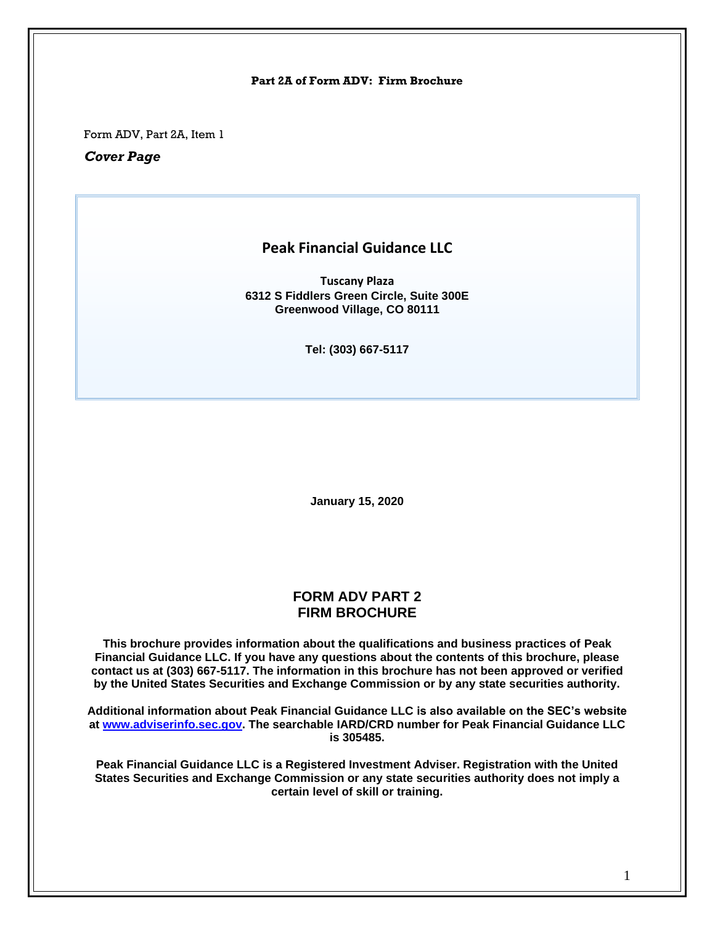#### **Part 2A of Form ADV: Firm Brochure**

Form ADV, Part 2A, Item 1

*Cover Page*

## **Peak Financial Guidance LLC**

**Tuscany Plaza 6312 S Fiddlers Green Circle, Suite 300E Greenwood Village, CO 80111**

**Tel: (303) 667-5117**

**January 15, 2020**

### **FORM ADV PART 2 FIRM BROCHURE**

**This brochure provides information about the qualifications and business practices of Peak Financial Guidance LLC. If you have any questions about the contents of this brochure, please contact us at (303) 667-5117. The information in this brochure has not been approved or verified by the United States Securities and Exchange Commission or by any state securities authority.**

**Additional information about Peak Financial Guidance LLC is also available on the SEC's website at [www.adviserinfo.sec.gov.](http://www.adviserinfo.sec.gov/) The searchable IARD/CRD number for Peak Financial Guidance LLC is 305485.**

**Peak Financial Guidance LLC is a Registered Investment Adviser. Registration with the United States Securities and Exchange Commission or any state securities authority does not imply a certain level of skill or training.**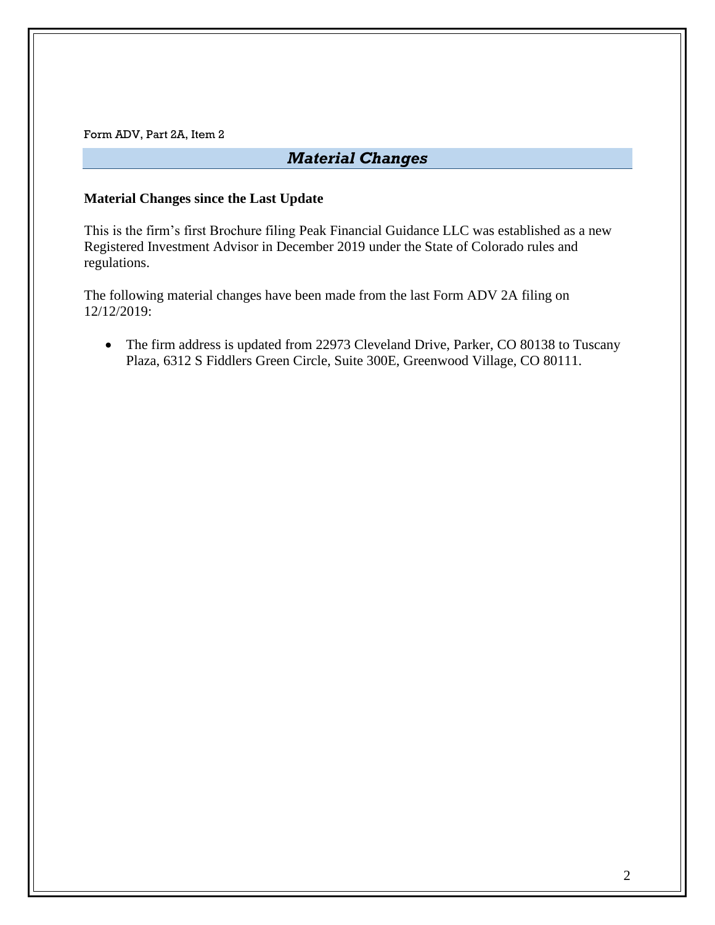# *Material Changes*

### **Material Changes since the Last Update**

This is the firm's first Brochure filing Peak Financial Guidance LLC was established as a new Registered Investment Advisor in December 2019 under the State of Colorado rules and regulations.

The following material changes have been made from the last Form ADV 2A filing on 12/12/2019:

• The firm address is updated from 22973 Cleveland Drive, Parker, CO 80138 to Tuscany Plaza, 6312 S Fiddlers Green Circle, Suite 300E, Greenwood Village, CO 80111.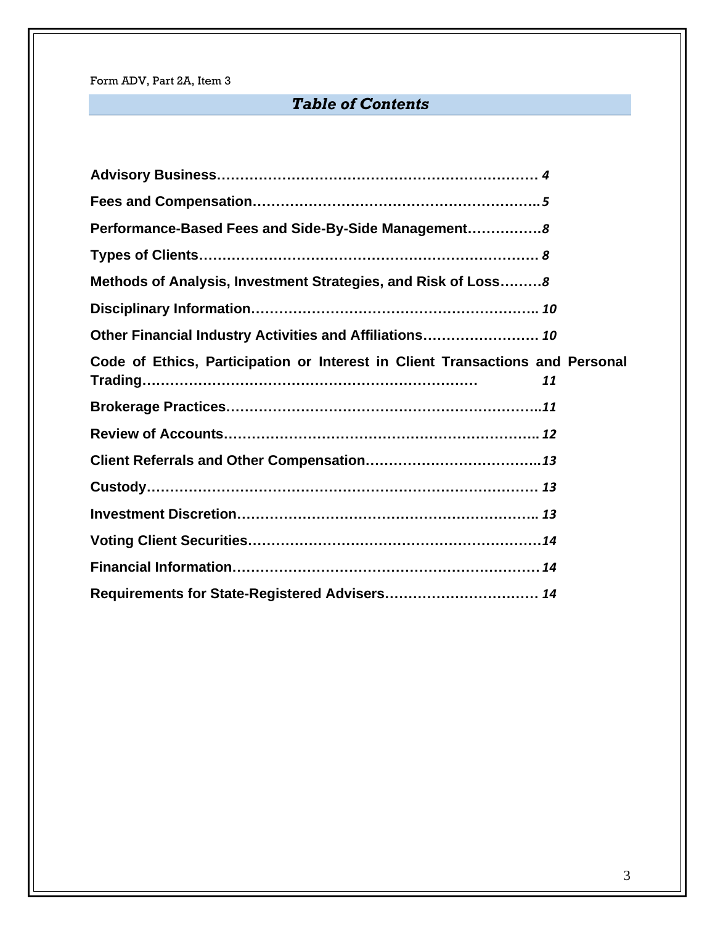# *Table of Contents*

| Performance-Based Fees and Side-By-Side Management8                                 |
|-------------------------------------------------------------------------------------|
|                                                                                     |
| Methods of Analysis, Investment Strategies, and Risk of Loss8                       |
|                                                                                     |
| Other Financial Industry Activities and Affiliations 10                             |
| Code of Ethics, Participation or Interest in Client Transactions and Personal<br>11 |
|                                                                                     |
|                                                                                     |
|                                                                                     |
|                                                                                     |
|                                                                                     |
|                                                                                     |
|                                                                                     |
| Requirements for State-Registered Advisers 14                                       |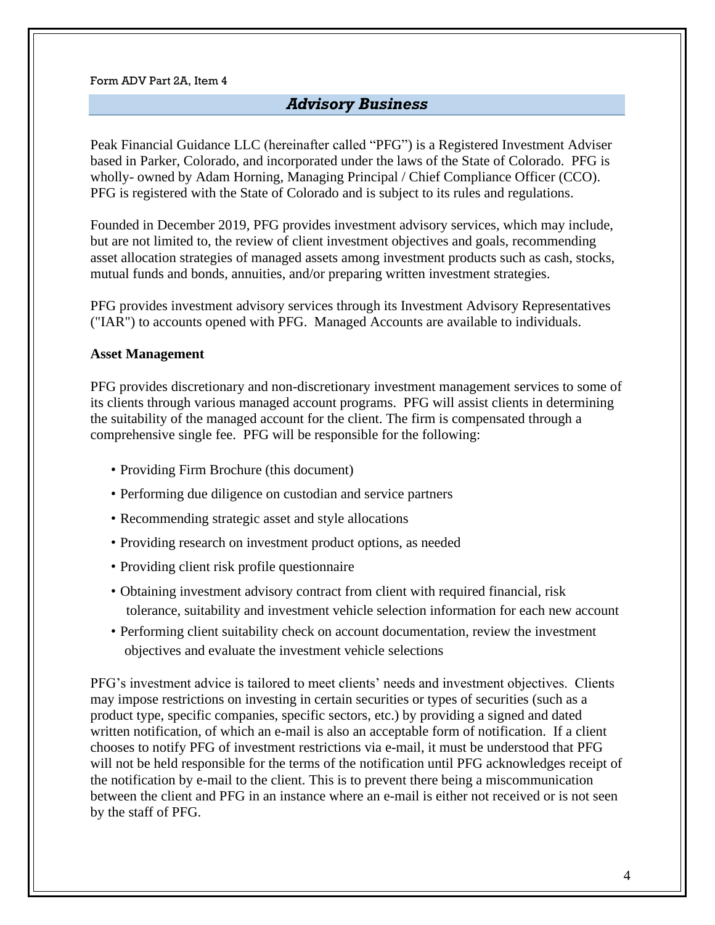## *Advisory Business*

<span id="page-3-0"></span>Peak Financial Guidance LLC (hereinafter called "PFG") is a Registered Investment Adviser based in Parker, Colorado, and incorporated under the laws of the State of Colorado. PFG is wholly- owned by Adam Horning, Managing Principal / Chief Compliance Officer (CCO). PFG is registered with the State of Colorado and is subject to its rules and regulations.

Founded in December 2019, PFG provides investment advisory services, which may include, but are not limited to, the review of client investment objectives and goals, recommending asset allocation strategies of managed assets among investment products such as cash, stocks, mutual funds and bonds, annuities, and/or preparing written investment strategies.

PFG provides investment advisory services through its Investment Advisory Representatives ("IAR") to accounts opened with PFG. Managed Accounts are available to individuals.

### **Asset Management**

PFG provides discretionary and non-discretionary investment management services to some of its clients through various managed account programs. PFG will assist clients in determining the suitability of the managed account for the client. The firm is compensated through a comprehensive single fee. PFG will be responsible for the following:

- Providing Firm Brochure (this document)
- Performing due diligence on custodian and service partners
- Recommending strategic asset and style allocations
- Providing research on investment product options, as needed
- Providing client risk profile questionnaire
- Obtaining investment advisory contract from client with required financial, risk tolerance, suitability and investment vehicle selection information for each new account
- Performing client suitability check on account documentation, review the investment objectives and evaluate the investment vehicle selections

PFG's investment advice is tailored to meet clients' needs and investment objectives. Clients may impose restrictions on investing in certain securities or types of securities (such as a product type, specific companies, specific sectors, etc.) by providing a signed and dated written notification, of which an e-mail is also an acceptable form of notification. If a client chooses to notify PFG of investment restrictions via e-mail, it must be understood that PFG will not be held responsible for the terms of the notification until PFG acknowledges receipt of the notification by e-mail to the client. This is to prevent there being a miscommunication between the client and PFG in an instance where an e-mail is either not received or is not seen by the staff of PFG.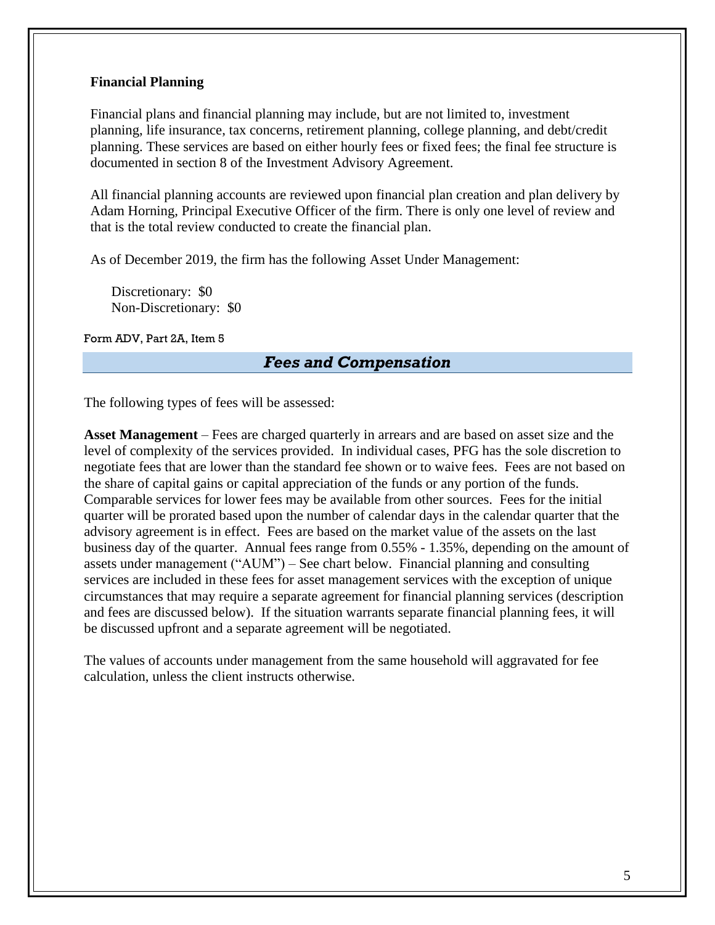### **Financial Planning**

Financial plans and financial planning may include, but are not limited to, investment planning, life insurance, tax concerns, retirement planning, college planning, and debt/credit planning. These services are based on either hourly fees or fixed fees; the final fee structure is documented in section 8 of the Investment Advisory Agreement.

All financial planning accounts are reviewed upon financial plan creation and plan delivery by Adam Horning, Principal Executive Officer of the firm. There is only one level of review and that is the total review conducted to create the financial plan.

As of December 2019, the firm has the following Asset Under Management:

Discretionary: \$0 Non-Discretionary: \$0

<span id="page-4-0"></span>Form ADV, Part 2A, Item 5

## *Fees and Compensation*

The following types of fees will be assessed:

**Asset Management** – Fees are charged quarterly in arrears and are based on asset size and the level of complexity of the services provided. In individual cases, PFG has the sole discretion to negotiate fees that are lower than the standard fee shown or to waive fees. Fees are not based on the share of capital gains or capital appreciation of the funds or any portion of the funds. Comparable services for lower fees may be available from other sources. Fees for the initial quarter will be prorated based upon the number of calendar days in the calendar quarter that the advisory agreement is in effect. Fees are based on the market value of the assets on the last business day of the quarter. Annual fees range from 0.55% - 1.35%, depending on the amount of assets under management ("AUM") – See chart below. Financial planning and consulting services are included in these fees for asset management services with the exception of unique circumstances that may require a separate agreement for financial planning services (description and fees are discussed below). If the situation warrants separate financial planning fees, it will be discussed upfront and a separate agreement will be negotiated.

The values of accounts under management from the same household will aggravated for fee calculation, unless the client instructs otherwise.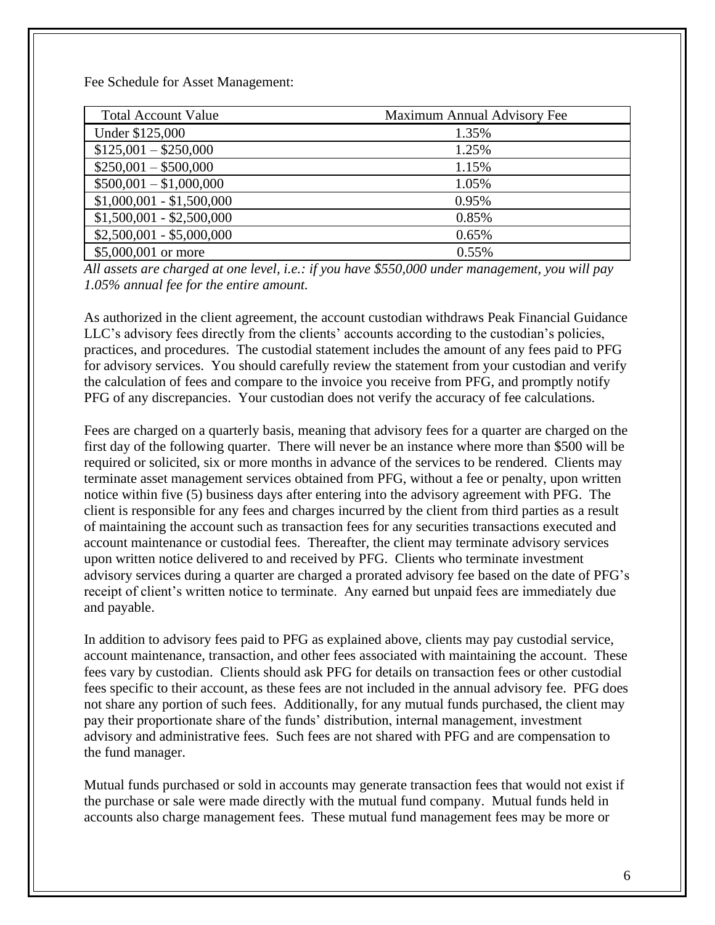Fee Schedule for Asset Management:

| <b>Total Account Value</b> | Maximum Annual Advisory Fee |
|----------------------------|-----------------------------|
| Under \$125,000            | 1.35%                       |
| $$125,001 - $250,000$      | 1.25%                       |
| $$250,001 - $500,000$      | 1.15%                       |
| $$500,001 - $1,000,000$    | 1.05%                       |
| $$1,000,001 - $1,500,000$  | 0.95%                       |
| $$1,500,001 - $2,500,000$  | 0.85%                       |
| $$2,500,001 - $5,000,000$  | 0.65%                       |
| \$5,000,001 or more        | 0.55%                       |

*All assets are charged at one level, i.e.: if you have \$550,000 under management, you will pay 1.05% annual fee for the entire amount.*

As authorized in the client agreement, the account custodian withdraws Peak Financial Guidance LLC's advisory fees directly from the clients' accounts according to the custodian's policies, practices, and procedures. The custodial statement includes the amount of any fees paid to PFG for advisory services. You should carefully review the statement from your custodian and verify the calculation of fees and compare to the invoice you receive from PFG, and promptly notify PFG of any discrepancies. Your custodian does not verify the accuracy of fee calculations.

Fees are charged on a quarterly basis, meaning that advisory fees for a quarter are charged on the first day of the following quarter. There will never be an instance where more than \$500 will be required or solicited, six or more months in advance of the services to be rendered. Clients may terminate asset management services obtained from PFG, without a fee or penalty, upon written notice within five (5) business days after entering into the advisory agreement with PFG. The client is responsible for any fees and charges incurred by the client from third parties as a result of maintaining the account such as transaction fees for any securities transactions executed and account maintenance or custodial fees. Thereafter, the client may terminate advisory services upon written notice delivered to and received by PFG. Clients who terminate investment advisory services during a quarter are charged a prorated advisory fee based on the date of PFG's receipt of client's written notice to terminate. Any earned but unpaid fees are immediately due and payable.

In addition to advisory fees paid to PFG as explained above, clients may pay custodial service, account maintenance, transaction, and other fees associated with maintaining the account. These fees vary by custodian. Clients should ask PFG for details on transaction fees or other custodial fees specific to their account, as these fees are not included in the annual advisory fee. PFG does not share any portion of such fees. Additionally, for any mutual funds purchased, the client may pay their proportionate share of the funds' distribution, internal management, investment advisory and administrative fees. Such fees are not shared with PFG and are compensation to the fund manager.

Mutual funds purchased or sold in accounts may generate transaction fees that would not exist if the purchase or sale were made directly with the mutual fund company. Mutual funds held in accounts also charge management fees. These mutual fund management fees may be more or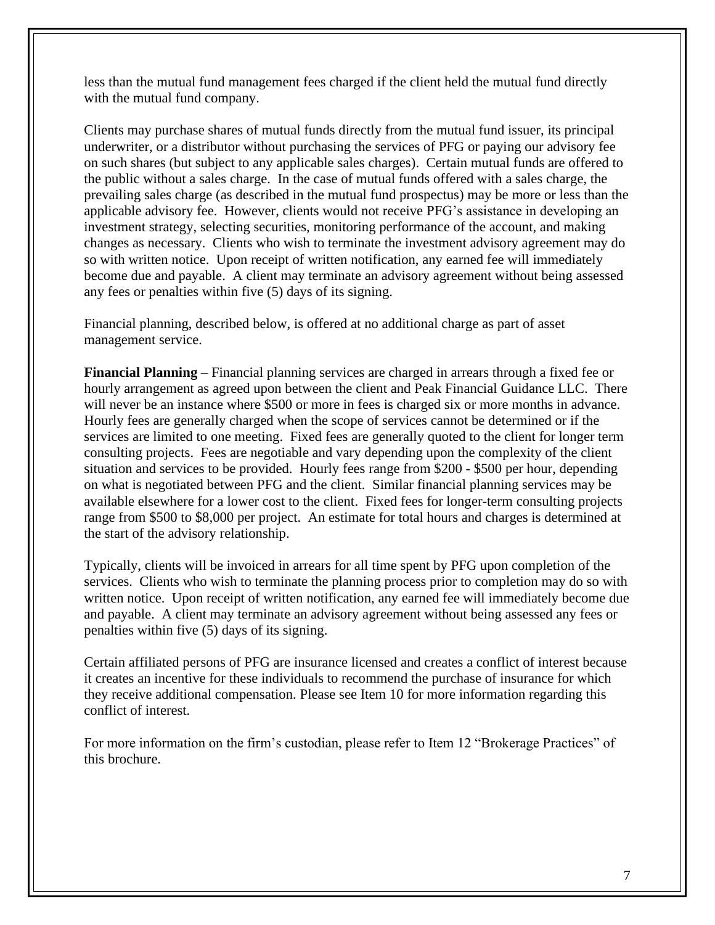less than the mutual fund management fees charged if the client held the mutual fund directly with the mutual fund company.

Clients may purchase shares of mutual funds directly from the mutual fund issuer, its principal underwriter, or a distributor without purchasing the services of PFG or paying our advisory fee on such shares (but subject to any applicable sales charges). Certain mutual funds are offered to the public without a sales charge. In the case of mutual funds offered with a sales charge, the prevailing sales charge (as described in the mutual fund prospectus) may be more or less than the applicable advisory fee. However, clients would not receive PFG's assistance in developing an investment strategy, selecting securities, monitoring performance of the account, and making changes as necessary. Clients who wish to terminate the investment advisory agreement may do so with written notice. Upon receipt of written notification, any earned fee will immediately become due and payable. A client may terminate an advisory agreement without being assessed any fees or penalties within five (5) days of its signing.

Financial planning, described below, is offered at no additional charge as part of asset management service.

**Financial Planning** – Financial planning services are charged in arrears through a fixed fee or hourly arrangement as agreed upon between the client and Peak Financial Guidance LLC. There will never be an instance where \$500 or more in fees is charged six or more months in advance. Hourly fees are generally charged when the scope of services cannot be determined or if the services are limited to one meeting. Fixed fees are generally quoted to the client for longer term consulting projects. Fees are negotiable and vary depending upon the complexity of the client situation and services to be provided. Hourly fees range from \$200 - \$500 per hour, depending on what is negotiated between PFG and the client. Similar financial planning services may be available elsewhere for a lower cost to the client. Fixed fees for longer-term consulting projects range from \$500 to \$8,000 per project. An estimate for total hours and charges is determined at the start of the advisory relationship.

Typically, clients will be invoiced in arrears for all time spent by PFG upon completion of the services. Clients who wish to terminate the planning process prior to completion may do so with written notice. Upon receipt of written notification, any earned fee will immediately become due and payable. A client may terminate an advisory agreement without being assessed any fees or penalties within five (5) days of its signing.

Certain affiliated persons of PFG are insurance licensed and creates a conflict of interest because it creates an incentive for these individuals to recommend the purchase of insurance for which they receive additional compensation. Please see Item 10 for more information regarding this conflict of interest.

For more information on the firm's custodian, please refer to Item 12 "Brokerage Practices" of this brochure.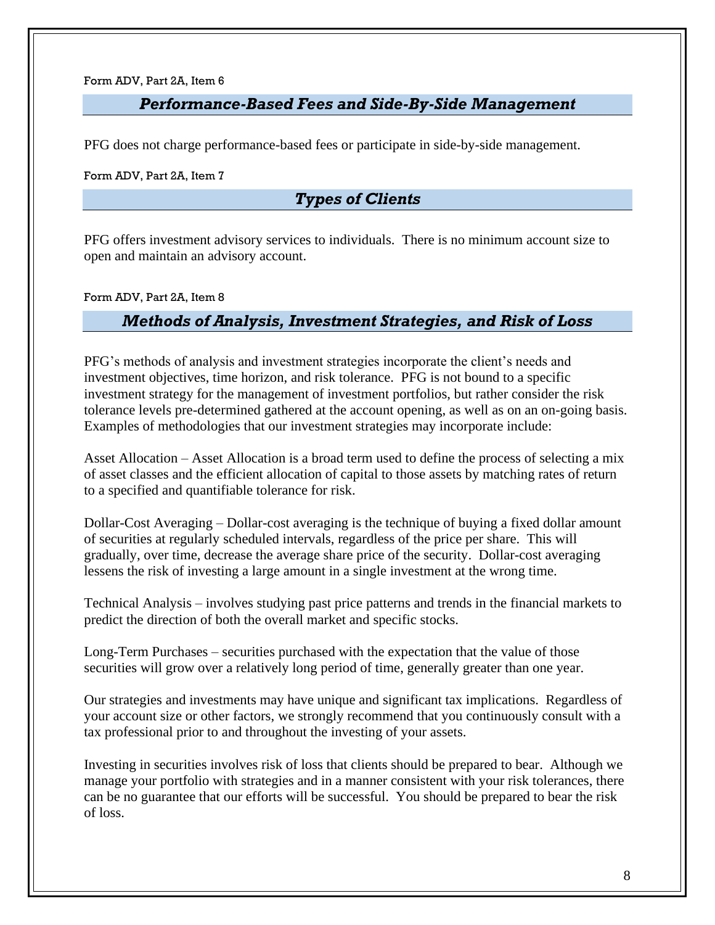## *Performance-Based Fees and Side-By-Side Management*

<span id="page-7-0"></span>PFG does not charge performance-based fees or participate in side-by-side management.

<span id="page-7-1"></span>Form ADV, Part 2A, Item 7

# *Types of Clients*

PFG offers investment advisory services to individuals. There is no minimum account size to open and maintain an advisory account.

<span id="page-7-2"></span>Form ADV, Part 2A, Item 8

## *Methods of Analysis, Investment Strategies, and Risk of Loss*

PFG's methods of analysis and investment strategies incorporate the client's needs and investment objectives, time horizon, and risk tolerance. PFG is not bound to a specific investment strategy for the management of investment portfolios, but rather consider the risk tolerance levels pre-determined gathered at the account opening, as well as on an on-going basis. Examples of methodologies that our investment strategies may incorporate include:

Asset Allocation – Asset Allocation is a broad term used to define the process of selecting a mix of asset classes and the efficient allocation of capital to those assets by matching rates of return to a specified and quantifiable tolerance for risk.

Dollar-Cost Averaging – Dollar-cost averaging is the technique of buying a fixed dollar amount of securities at regularly scheduled intervals, regardless of the price per share. This will gradually, over time, decrease the average share price of the security. Dollar-cost averaging lessens the risk of investing a large amount in a single investment at the wrong time.

Technical Analysis – involves studying past price patterns and trends in the financial markets to predict the direction of both the overall market and specific stocks.

Long-Term Purchases – securities purchased with the expectation that the value of those securities will grow over a relatively long period of time, generally greater than one year.

Our strategies and investments may have unique and significant tax implications. Regardless of your account size or other factors, we strongly recommend that you continuously consult with a tax professional prior to and throughout the investing of your assets.

Investing in securities involves risk of loss that clients should be prepared to bear. Although we manage your portfolio with strategies and in a manner consistent with your risk tolerances, there can be no guarantee that our efforts will be successful. You should be prepared to bear the risk of loss.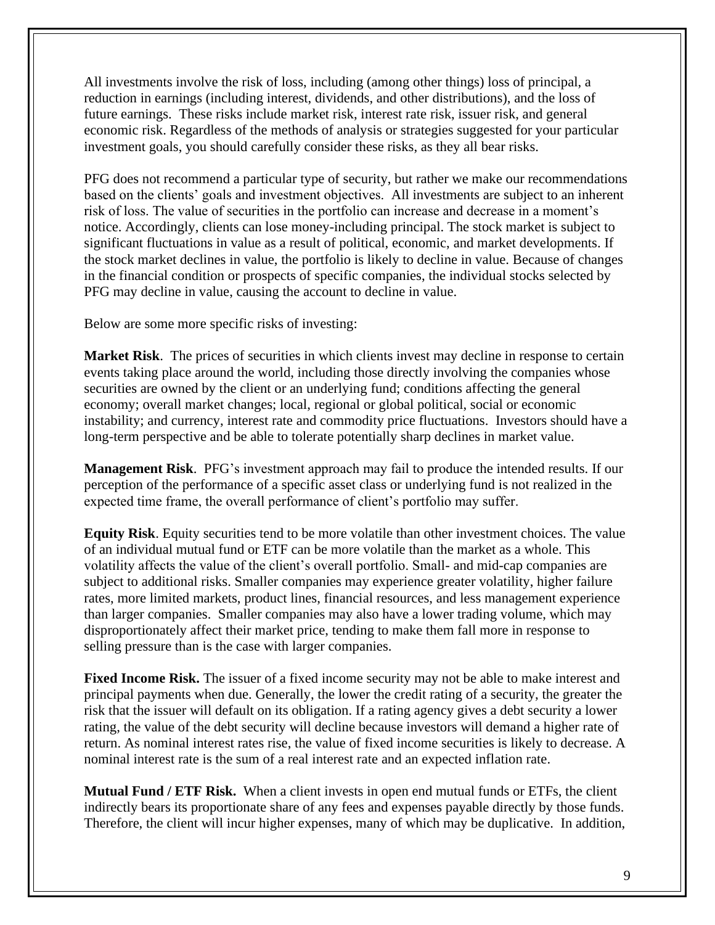All investments involve the risk of loss, including (among other things) loss of principal, a reduction in earnings (including interest, dividends, and other distributions), and the loss of future earnings. These risks include market risk, interest rate risk, issuer risk, and general economic risk. Regardless of the methods of analysis or strategies suggested for your particular investment goals, you should carefully consider these risks, as they all bear risks.

PFG does not recommend a particular type of security, but rather we make our recommendations based on the clients' goals and investment objectives. All investments are subject to an inherent risk of loss. The value of securities in the portfolio can increase and decrease in a moment's notice. Accordingly, clients can lose money-including principal. The stock market is subject to significant fluctuations in value as a result of political, economic, and market developments. If the stock market declines in value, the portfolio is likely to decline in value. Because of changes in the financial condition or prospects of specific companies, the individual stocks selected by PFG may decline in value, causing the account to decline in value.

Below are some more specific risks of investing:

**Market Risk**. The prices of securities in which clients invest may decline in response to certain events taking place around the world, including those directly involving the companies whose securities are owned by the client or an underlying fund; conditions affecting the general economy; overall market changes; local, regional or global political, social or economic instability; and currency, interest rate and commodity price fluctuations. Investors should have a long-term perspective and be able to tolerate potentially sharp declines in market value.

**Management Risk**. PFG's investment approach may fail to produce the intended results. If our perception of the performance of a specific asset class or underlying fund is not realized in the expected time frame, the overall performance of client's portfolio may suffer.

**Equity Risk**. Equity securities tend to be more volatile than other investment choices. The value of an individual mutual fund or ETF can be more volatile than the market as a whole. This volatility affects the value of the client's overall portfolio. Small- and mid-cap companies are subject to additional risks. Smaller companies may experience greater volatility, higher failure rates, more limited markets, product lines, financial resources, and less management experience than larger companies. Smaller companies may also have a lower trading volume, which may disproportionately affect their market price, tending to make them fall more in response to selling pressure than is the case with larger companies.

**Fixed Income Risk.** The issuer of a fixed income security may not be able to make interest and principal payments when due. Generally, the lower the credit rating of a security, the greater the risk that the issuer will default on its obligation. If a rating agency gives a debt security a lower rating, the value of the debt security will decline because investors will demand a higher rate of return. As nominal interest rates rise, the value of fixed income securities is likely to decrease. A nominal interest rate is the sum of a real interest rate and an expected inflation rate.

**Mutual Fund / ETF Risk.** When a client invests in open end mutual funds or ETFs, the client indirectly bears its proportionate share of any fees and expenses payable directly by those funds. Therefore, the client will incur higher expenses, many of which may be duplicative. In addition,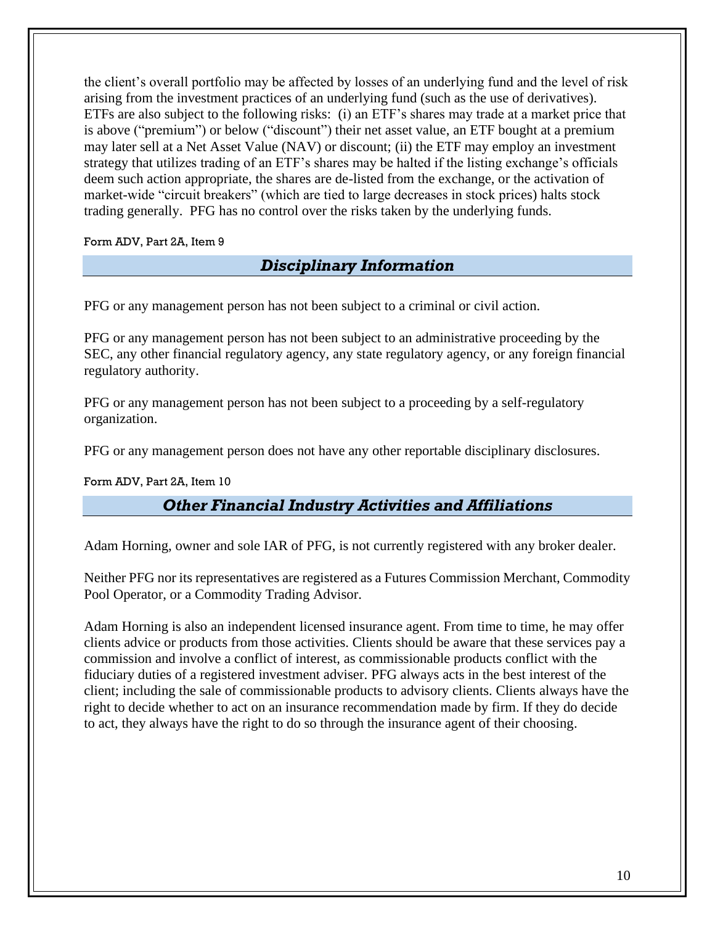the client's overall portfolio may be affected by losses of an underlying fund and the level of risk arising from the investment practices of an underlying fund (such as the use of derivatives). ETFs are also subject to the following risks: (i) an ETF's shares may trade at a market price that is above ("premium") or below ("discount") their net asset value, an ETF bought at a premium may later sell at a Net Asset Value (NAV) or discount; (ii) the ETF may employ an investment strategy that utilizes trading of an ETF's shares may be halted if the listing exchange's officials deem such action appropriate, the shares are de-listed from the exchange, or the activation of market-wide "circuit breakers" (which are tied to large decreases in stock prices) halts stock trading generally. PFG has no control over the risks taken by the underlying funds.

<span id="page-9-0"></span>Form ADV, Part 2A, Item 9

# *Disciplinary Information*

PFG or any management person has not been subject to a criminal or civil action.

PFG or any management person has not been subject to an administrative proceeding by the SEC, any other financial regulatory agency, any state regulatory agency, or any foreign financial regulatory authority.

PFG or any management person has not been subject to a proceeding by a self-regulatory organization.

PFG or any management person does not have any other reportable disciplinary disclosures.

<span id="page-9-1"></span>Form ADV, Part 2A, Item 10

# *Other Financial Industry Activities and Affiliations*

Adam Horning, owner and sole IAR of PFG, is not currently registered with any broker dealer.

Neither PFG nor its representatives are registered as a Futures Commission Merchant, Commodity Pool Operator, or a Commodity Trading Advisor.

Adam Horning is also an independent licensed insurance agent. From time to time, he may offer clients advice or products from those activities. Clients should be aware that these services pay a commission and involve a conflict of interest, as commissionable products conflict with the fiduciary duties of a registered investment adviser. PFG always acts in the best interest of the client; including the sale of commissionable products to advisory clients. Clients always have the right to decide whether to act on an insurance recommendation made by firm. If they do decide to act, they always have the right to do so through the insurance agent of their choosing.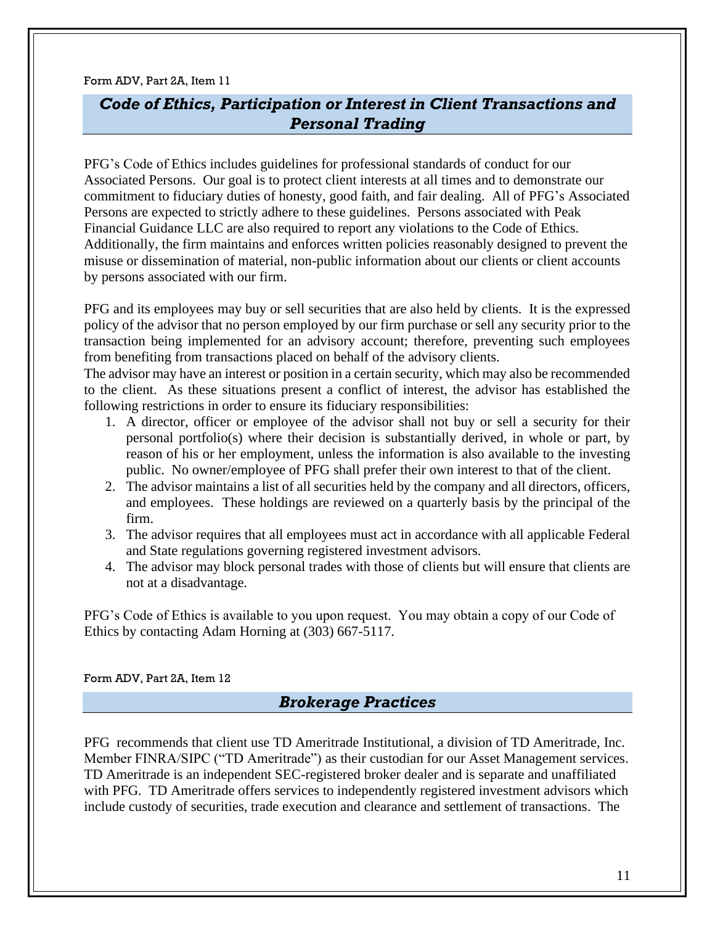# <span id="page-10-0"></span>*Code of Ethics, Participation or Interest in Client Transactions and Personal Trading*

PFG's Code of Ethics includes guidelines for professional standards of conduct for our Associated Persons. Our goal is to protect client interests at all times and to demonstrate our commitment to fiduciary duties of honesty, good faith, and fair dealing. All of PFG's Associated Persons are expected to strictly adhere to these guidelines. Persons associated with Peak Financial Guidance LLC are also required to report any violations to the Code of Ethics. Additionally, the firm maintains and enforces written policies reasonably designed to prevent the misuse or dissemination of material, non-public information about our clients or client accounts by persons associated with our firm.

PFG and its employees may buy or sell securities that are also held by clients. It is the expressed policy of the advisor that no person employed by our firm purchase or sell any security prior to the transaction being implemented for an advisory account; therefore, preventing such employees from benefiting from transactions placed on behalf of the advisory clients.

The advisor may have an interest or position in a certain security, which may also be recommended to the client. As these situations present a conflict of interest, the advisor has established the following restrictions in order to ensure its fiduciary responsibilities:

- 1. A director, officer or employee of the advisor shall not buy or sell a security for their personal portfolio(s) where their decision is substantially derived, in whole or part, by reason of his or her employment, unless the information is also available to the investing public. No owner/employee of PFG shall prefer their own interest to that of the client.
- 2. The advisor maintains a list of all securities held by the company and all directors, officers, and employees. These holdings are reviewed on a quarterly basis by the principal of the firm.
- 3. The advisor requires that all employees must act in accordance with all applicable Federal and State regulations governing registered investment advisors.
- 4. The advisor may block personal trades with those of clients but will ensure that clients are not at a disadvantage.

PFG's Code of Ethics is available to you upon request. You may obtain a copy of our Code of Ethics by contacting Adam Horning at (303) 667-5117.

<span id="page-10-1"></span>Form ADV, Part 2A, Item 12

## *Brokerage Practices*

PFG recommends that client use TD Ameritrade Institutional, a division of TD Ameritrade, Inc. Member FINRA/SIPC ("TD Ameritrade") as their custodian for our Asset Management services. TD Ameritrade is an independent SEC-registered broker dealer and is separate and unaffiliated with PFG. TD Ameritrade offers services to independently registered investment advisors which include custody of securities, trade execution and clearance and settlement of transactions. The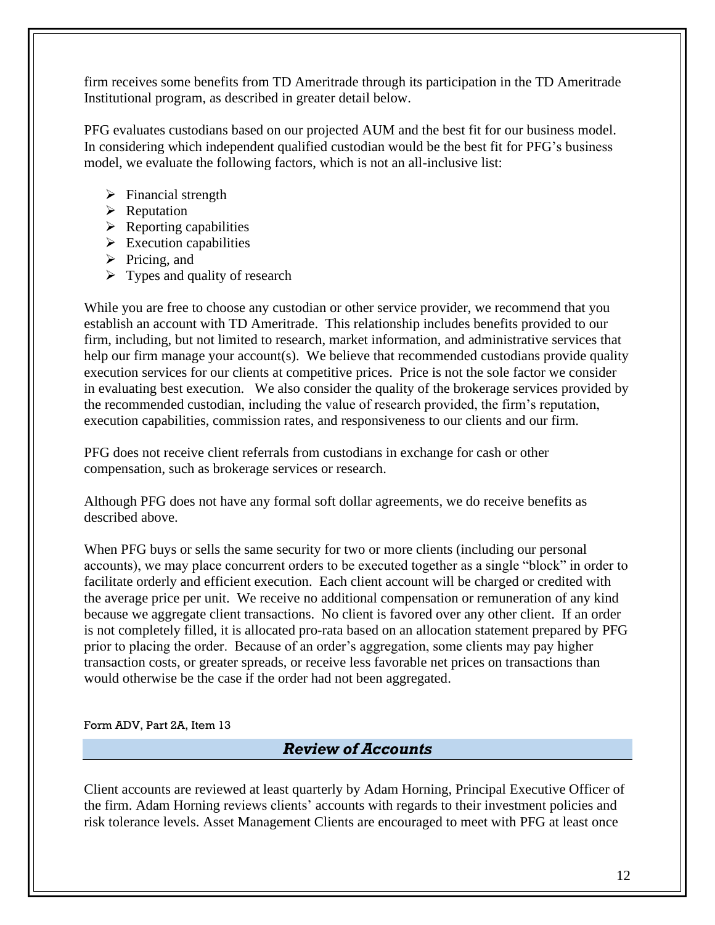firm receives some benefits from TD Ameritrade through its participation in the TD Ameritrade Institutional program, as described in greater detail below.

PFG evaluates custodians based on our projected AUM and the best fit for our business model. In considering which independent qualified custodian would be the best fit for PFG's business model, we evaluate the following factors, which is not an all-inclusive list:

- $\triangleright$  Financial strength
- ➢ Reputation
- $\triangleright$  Reporting capabilities
- $\triangleright$  Execution capabilities
- $\triangleright$  Pricing, and
- $\triangleright$  Types and quality of research

While you are free to choose any custodian or other service provider, we recommend that you establish an account with TD Ameritrade. This relationship includes benefits provided to our firm, including, but not limited to research, market information, and administrative services that help our firm manage your account(s). We believe that recommended custodians provide quality execution services for our clients at competitive prices. Price is not the sole factor we consider in evaluating best execution. We also consider the quality of the brokerage services provided by the recommended custodian, including the value of research provided, the firm's reputation, execution capabilities, commission rates, and responsiveness to our clients and our firm.

PFG does not receive client referrals from custodians in exchange for cash or other compensation, such as brokerage services or research.

Although PFG does not have any formal soft dollar agreements, we do receive benefits as described above.

When PFG buys or sells the same security for two or more clients (including our personal accounts), we may place concurrent orders to be executed together as a single "block" in order to facilitate orderly and efficient execution. Each client account will be charged or credited with the average price per unit. We receive no additional compensation or remuneration of any kind because we aggregate client transactions. No client is favored over any other client. If an order is not completely filled, it is allocated pro-rata based on an allocation statement prepared by PFG prior to placing the order. Because of an order's aggregation, some clients may pay higher transaction costs, or greater spreads, or receive less favorable net prices on transactions than would otherwise be the case if the order had not been aggregated.

<span id="page-11-0"></span>Form ADV, Part 2A, Item 13

# *Review of Accounts*

Client accounts are reviewed at least quarterly by Adam Horning, Principal Executive Officer of the firm. Adam Horning reviews clients' accounts with regards to their investment policies and risk tolerance levels. Asset Management Clients are encouraged to meet with PFG at least once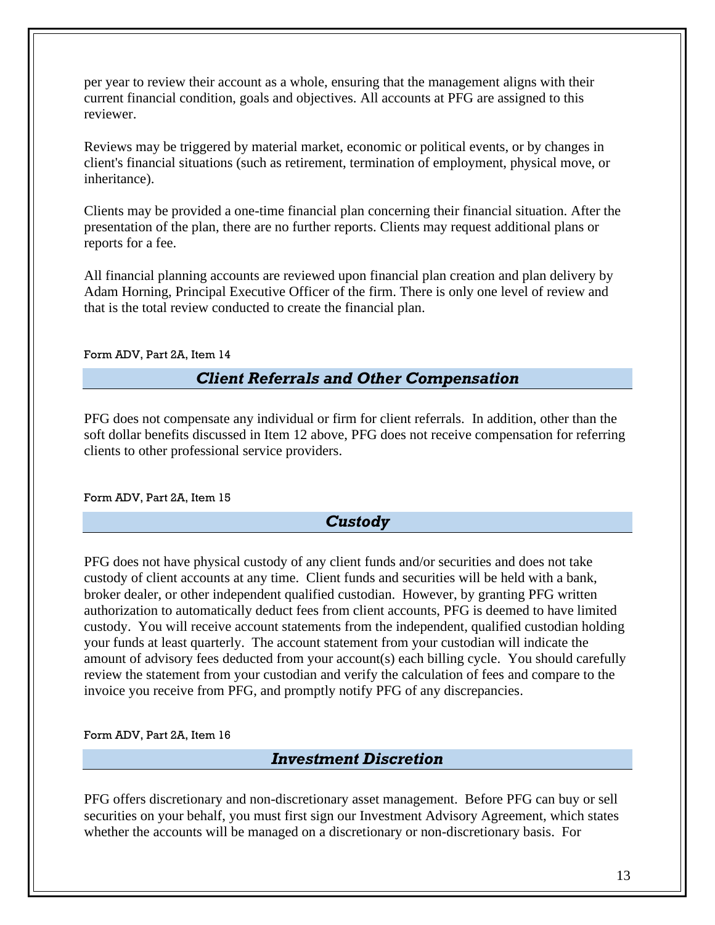per year to review their account as a whole, ensuring that the management aligns with their current financial condition, goals and objectives. All accounts at PFG are assigned to this reviewer.

Reviews may be triggered by material market, economic or political events, or by changes in client's financial situations (such as retirement, termination of employment, physical move, or inheritance).

Clients may be provided a one-time financial plan concerning their financial situation. After the presentation of the plan, there are no further reports. Clients may request additional plans or reports for a fee.

All financial planning accounts are reviewed upon financial plan creation and plan delivery by Adam Horning, Principal Executive Officer of the firm. There is only one level of review and that is the total review conducted to create the financial plan.

#### <span id="page-12-0"></span>Form ADV, Part 2A, Item 14

# *Client Referrals and Other Compensation*

PFG does not compensate any individual or firm for client referrals. In addition, other than the soft dollar benefits discussed in Item 12 above, PFG does not receive compensation for referring clients to other professional service providers.

<span id="page-12-1"></span>Form ADV, Part 2A, Item 15

## *Custody*

PFG does not have physical custody of any client funds and/or securities and does not take custody of client accounts at any time. Client funds and securities will be held with a bank, broker dealer, or other independent qualified custodian. However, by granting PFG written authorization to automatically deduct fees from client accounts, PFG is deemed to have limited custody. You will receive account statements from the independent, qualified custodian holding your funds at least quarterly. The account statement from your custodian will indicate the amount of advisory fees deducted from your account(s) each billing cycle. You should carefully review the statement from your custodian and verify the calculation of fees and compare to the invoice you receive from PFG, and promptly notify PFG of any discrepancies.

<span id="page-12-2"></span>Form ADV, Part 2A, Item 16

## *Investment Discretion*

PFG offers discretionary and non-discretionary asset management. Before PFG can buy or sell securities on your behalf, you must first sign our Investment Advisory Agreement, which states whether the accounts will be managed on a discretionary or non-discretionary basis. For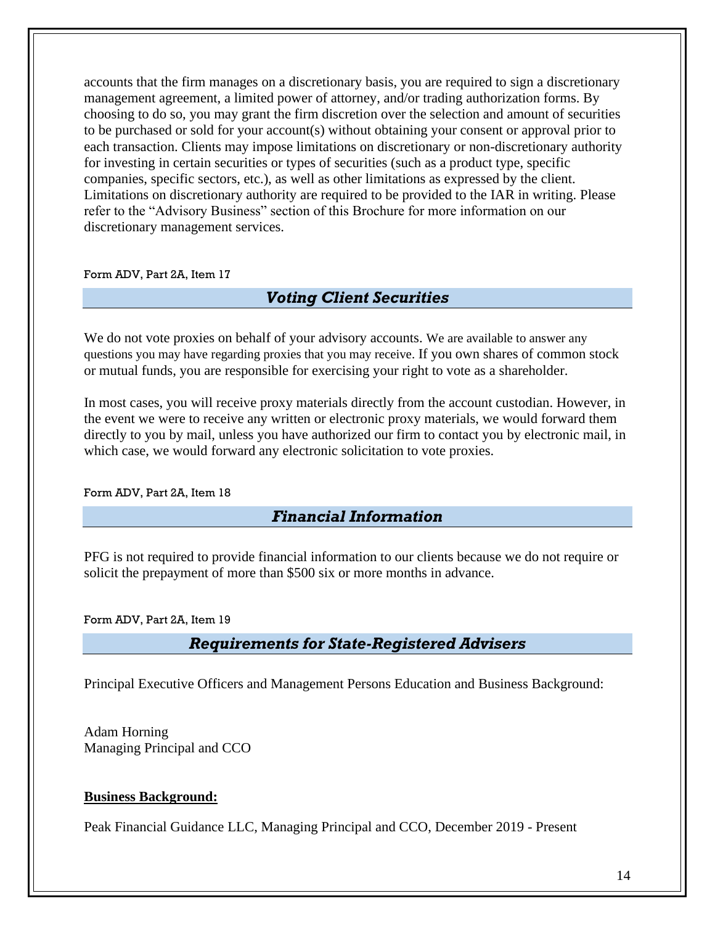accounts that the firm manages on a discretionary basis, you are required to sign a discretionary management agreement, a limited power of attorney, and/or trading authorization forms. By choosing to do so, you may grant the firm discretion over the selection and amount of securities to be purchased or sold for your account(s) without obtaining your consent or approval prior to each transaction. Clients may impose limitations on discretionary or non-discretionary authority for investing in certain securities or types of securities (such as a product type, specific companies, specific sectors, etc.), as well as other limitations as expressed by the client. Limitations on discretionary authority are required to be provided to the IAR in writing. Please refer to the "Advisory Business" section of this Brochure for more information on our discretionary management services.

<span id="page-13-0"></span>Form ADV, Part 2A, Item 17

# *Voting Client Securities*

We do not vote proxies on behalf of your advisory accounts. We are available to answer any questions you may have regarding proxies that you may receive. If you own shares of common stock or mutual funds, you are responsible for exercising your right to vote as a shareholder.

In most cases, you will receive proxy materials directly from the account custodian. However, in the event we were to receive any written or electronic proxy materials, we would forward them directly to you by mail, unless you have authorized our firm to contact you by electronic mail, in which case, we would forward any electronic solicitation to vote proxies.

#### <span id="page-13-1"></span>Form ADV, Part 2A, Item 18

## *Financial Information*

PFG is not required to provide financial information to our clients because we do not require or solicit the prepayment of more than \$500 six or more months in advance.

#### <span id="page-13-2"></span>Form ADV, Part 2A, Item 19

## *Requirements for State-Registered Advisers*

Principal Executive Officers and Management Persons Education and Business Background:

Adam Horning Managing Principal and CCO

### **Business Background:**

Peak Financial Guidance LLC, Managing Principal and CCO, December 2019 - Present